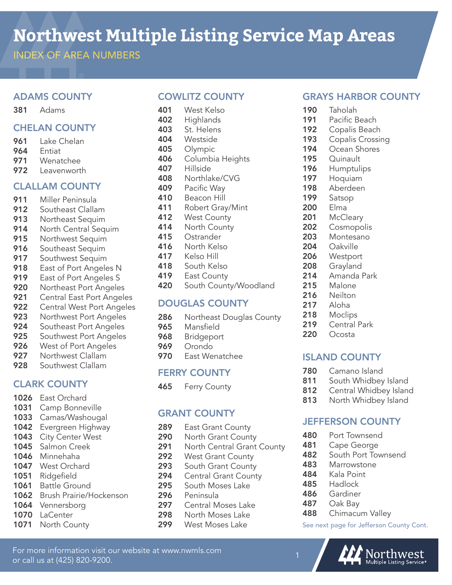# **Northwest Multiple Listing Service Map Areas**

INDEX OF AREA NUMBERS

### ADAMS COUNTY

381 Adams

### CHELAN COUNTY

- 961 Lake Chelan<br>964 Fntiat
- **Entiat**
- 971 Wenatchee<br>972 Leavenwort
- Leavenworth

#### CLALLAM COUNTY

- 911 Miller Peninsula
- 912 Southeast Clallam
- 913 Northeast Sequim
- 914 North Central Sequim
- 915 Northwest Sequim
- 916 Southeast Sequim
- 917 Southwest Sequim
- 918 East of Port Angeles N
- 919 East of Port Angeles S
- **920** Northeast Port Angeles<br>**921** Central East Port Angele
- **Central East Port Angeles**
- 922 Central West Port Angeles
- **923** Northwest Port Angeles<br>**924** Southeast Port Angeles
- Southeast Port Angeles
- 925 Southwest Port Angeles
- 926 West of Port Angeles
- **927** Northwest Clallam<br>**928** Southwest Clallam
- Southwest Clallam

# CLARK COUNTY

- 1026 East Orchard
- 1031 Camp Bonneville
- 1033 Camas/Washougal
- 1042 Evergreen Highway
- 1043 City Center West
- 1045 Salmon Creek
- 1046 Minnehaha
- 1047 West Orchard
- 1051 Ridgefield
- 1061 Battle Ground
- 1062 Brush Prairie/Hockenson

For more information visit our website at www.nwmls.com

- 1064 Vennersborg
- 1070 LaCenter
- 1071 North County

or call us at (425) 820-9200.

### COWLITZ COUNTY

- 401 West Kelso 402 Highlands
- 403 St. Helens
- 404 Westside
- 405 Olympic
- 406 Columbia Heights
- 407 Hillside
- 408 Northlake/CVG
- 409 Pacific Way
- 410 Beacon Hill
- 411 Robert Gray/Mint
- 412 West County
- 414 North County
- 415 Ostrander
- 416 North Kelso
- 417 Kelso Hill
- 418 South Kelso
- 419 East County
- 420 South County/Woodland

#### DOUGLAS COUNTY

- 286 Northeast Douglas County
- 965 Mansfield
- 968 Bridgeport
- 969 Orondo
- 970 East Wenatchee

#### FERRY COUNTY

465 Ferry County

# GRANT COUNTY

- 289 East Grant County
- 290 North Grant County
- 291 North Central Grant County
- 292 West Grant County
- 293 South Grant County
- 294 Central Grant County
- 295 South Moses Lake
- 296 Peninsula
- 297 Central Moses Lake
- 298 North Moses Lake<br>299 West Moses Lake
- West Moses Lake

# GRAYS HARBOR COUNTY

- 190 Taholah
- 191 Pacific Beach
- 192 Copalis Beach
- 193 Copalis Crossing
- 194 Ocean Shores
- 195 Ouinault
- 196 Humptulips
- 197 Hoquiam
- 198 Aberdeen
- 199 Satsop
- 200 Elma
- 201 McCleary
- 202 Cosmopolis
- 203 Montesano
- 204 Oakville
- 206 Westport
- 208 Grayland

214 Amanda Park 215 Malone 216 Neilton 217 Aloha 218 Moclips 219 Central Park 220 Ocosta

ISLAND COUNTY 780 Camano Island

811 South Whidbey Island 812 Central Whidbey Island 813 North Whidbey Island

JEFFERSON COUNTY

**482** South Port Townsend

480 Port Townsend 481 Cape George

483 Marrowstone 484 Kala Point 485 Hadlock 486 Gardiner 487 Oak Bay

488 Chimacum Valley

See next page for Jefferson County Cont.

Northwest<br>Multiple Listing Service®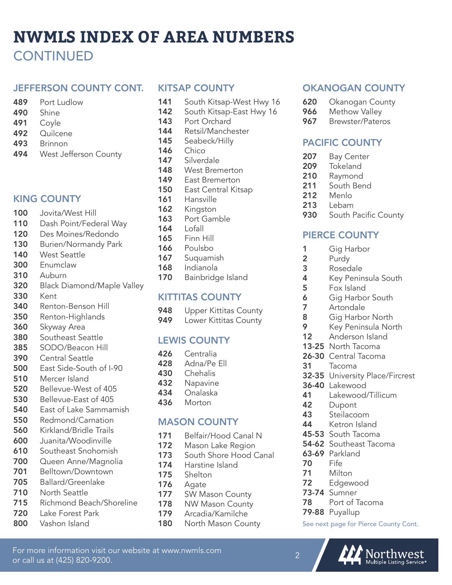# **NWMLS INDEX OF AREA NUMBERS CONTINUED**

#### JEFFERSON COUNTY CONT.

- 489 Port Ludlow
- 490 Shine
- 491 Coyle
- 492 Quilcene
- 493 Brinnon
- 494 West Jefferson County

#### KING COUNTY

- 100 Jovita/West Hill
- 110 Dash Point/Federal Way
- 120 Des Moines/Redondo
- 130 Burien/Normandy Park
- 140 West Seattle
- 300 Enumclaw
- 310 Auburn
- 320 Black Diamond/Maple Valley
- 330 Kent
- 340 Renton-Benson Hill
- 350 Renton-Highlands
- 360 Skyway Area
- 380 Southeast Seattle
- 385 SODO/Beacon Hill
- 390 Central Seattle
- 500 East Side-South of I-90
- 510 Mercer Island
- 520 Bellevue-West of 405
- 530 Bellevue-East of 405
- 540 East of Lake Sammamish
- 550 Redmond/Carnation
- 560 Kirkland/Bridle Trails
- 600 Juanita/Woodinville
- 610 Southeast Snohomish
- 700 Queen Anne/Magnolia
- 701 Belltown/Downtown
- 705 Ballard/Greenlake
- 710 North Seattle
- 715 Richmond Beach/Shoreline

For more information visit our website at www.nwmls.com

or call us at (425) 820-9200.

- 720 Lake Forest Park
- 800 Vashon Island

#### KITSAP COUNTY

- 141 South Kitsap-West Hwy 16
- 142 South Kitsap-East Hwy 16
- 143 Port Orchard
- 144 Retsil/Manchester
- 145 Seabeck/Hilly
- **146** Chico
- 147 Silverdale
- 148 West Bremerton
- 149 East Bremerton
- 150 East Central Kitsap
- 161 Hansville
- 162 Kingston
- 163 Port Gamble
- 164 Lofall
- 165 Finn Hill
- 166 Poulsbo
- 167 Suquamish
- 168 Indianola
- 170 Bainbridge Island

#### KITTITAS COUNTY

- 948 Upper Kittitas County
- 949 Lower Kittitas County

#### LEWIS COUNTY

- 426 Centralia
- 428 Adna/Pe Ell
- 430 Chehalis
- 432 Napavine
- 434 Onalaska
- 436 Morton

#### MASON COUNTY

- 171 Belfair/Hood Canal N
- 172 Mason Lake Region
- 173 South Shore Hood Canal
- 174 Harstine Island
- 175 Shelton
- 176 Agate
- 177 SW Mason County
- 178 NW Mason County
- 179 Arcadia/Kamilche
- 180 North Mason County

#### OKANOGAN COUNTY

- **620** Okanogan County
- 966 Methow Valley<br>967 Brewster/Pater
- Brewster/Pateros

### PACIFIC COUNTY

- 207 Bay Center
- 209 Tokeland
- 210 Raymond
- 211 South Bend
- 212 Menlo
- 213 Lebam
- 930 South Pacific County

#### PIERCE COUNTY

- 1 Gig Harbor
- 2 Purdy<br>3 Rosed
- **Rosedale**
- 4 Key Peninsula South

Gig Harbor North 9 Key Peninsula North 12 Anderson Island 13-25 North Tacoma 26-30 Central Tacoma

32-35 University Place/Fircrest

41 Lakewood/Tillicum

5 Fox Island

**7** Artondale<br>**8** Gig Harbo

31 Tacoma

42 Dupont 43 Steilacoom 44 Ketron Island 45-53 South Tacoma 54-62 Southeast Tacoma

**63-69** Parkland<br>**70** Fife Fife 71 Milton 72 Edgewood 73-74 Sumner

79-88 Puyallup

78 Port of Tacoma

See next page for Pierce County Cont.

Northwest<br>Multiple Listing Service

36-40 Lakewood

**6** Gig Harbor South